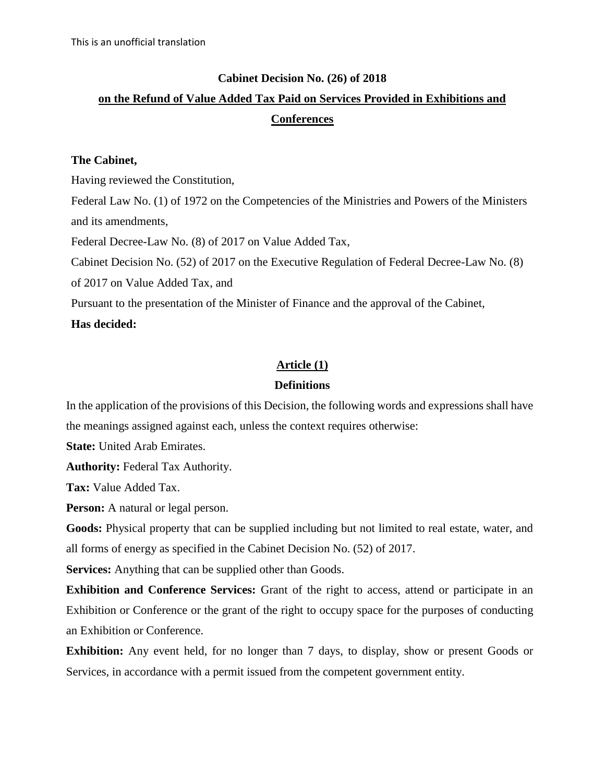## **Cabinet Decision No. (26) of 2018**

# **on the Refund of Value Added Tax Paid on Services Provided in Exhibitions and Conferences**

#### **The Cabinet,**

Having reviewed the Constitution,

Federal Law No. (1) of 1972 on the Competencies of the Ministries and Powers of the Ministers and its amendments,

Federal Decree-Law No. (8) of 2017 on Value Added Tax,

Cabinet Decision No. (52) of 2017 on the Executive Regulation of Federal Decree-Law No. (8)

of 2017 on Value Added Tax, and

Pursuant to the presentation of the Minister of Finance and the approval of the Cabinet,

## **Has decided:**

## **Article (1)**

## **Definitions**

In the application of the provisions of this Decision, the following words and expressions shall have the meanings assigned against each, unless the context requires otherwise:

**State: United Arab Emirates.** 

**Authority:** Federal Tax Authority.

**Tax:** Value Added Tax.

**Person:** A natural or legal person.

**Goods:** Physical property that can be supplied including but not limited to real estate, water, and all forms of energy as specified in the Cabinet Decision No. (52) of 2017.

**Services:** Anything that can be supplied other than Goods.

**Exhibition and Conference Services:** Grant of the right to access, attend or participate in an Exhibition or Conference or the grant of the right to occupy space for the purposes of conducting an Exhibition or Conference.

**Exhibition:** Any event held, for no longer than 7 days, to display, show or present Goods or Services, in accordance with a permit issued from the competent government entity.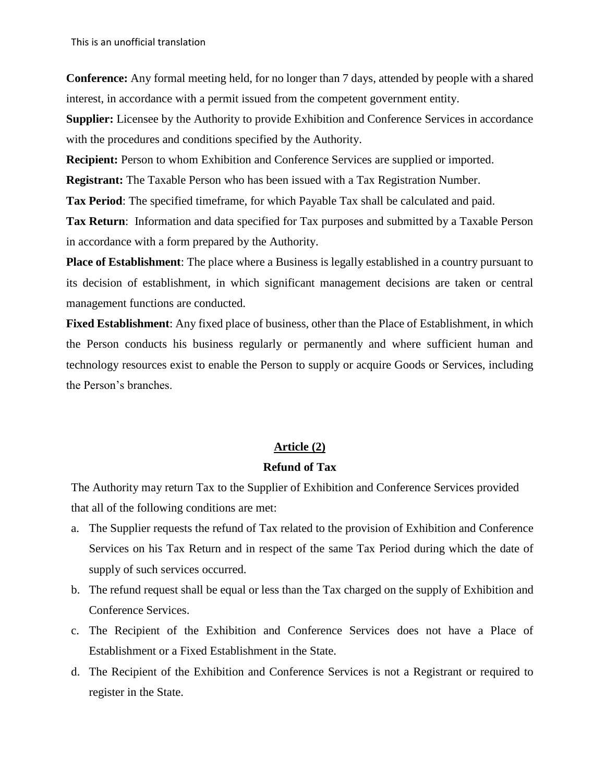**Conference:** Any formal meeting held, for no longer than 7 days, attended by people with a shared interest, in accordance with a permit issued from the competent government entity.

**Supplier:** Licensee by the Authority to provide Exhibition and Conference Services in accordance with the procedures and conditions specified by the Authority.

**Recipient:** Person to whom Exhibition and Conference Services are supplied or imported.

**Registrant:** The Taxable Person who has been issued with a Tax Registration Number.

**Tax Period**: The specified timeframe, for which Payable Tax shall be calculated and paid.

**Tax Return**: Information and data specified for Tax purposes and submitted by a Taxable Person in accordance with a form prepared by the Authority.

**Place of Establishment**: The place where a Business is legally established in a country pursuant to its decision of establishment, in which significant management decisions are taken or central management functions are conducted.

**Fixed Establishment**: Any fixed place of business, other than the Place of Establishment, in which the Person conducts his business regularly or permanently and where sufficient human and technology resources exist to enable the Person to supply or acquire Goods or Services, including the Person's branches.

## **Article (2)**

#### **Refund of Tax**

The Authority may return Tax to the Supplier of Exhibition and Conference Services provided that all of the following conditions are met:

- a. The Supplier requests the refund of Tax related to the provision of Exhibition and Conference Services on his Tax Return and in respect of the same Tax Period during which the date of supply of such services occurred.
- b. The refund request shall be equal or less than the Tax charged on the supply of Exhibition and Conference Services.
- c. The Recipient of the Exhibition and Conference Services does not have a Place of Establishment or a Fixed Establishment in the State.
- d. The Recipient of the Exhibition and Conference Services is not a Registrant or required to register in the State.